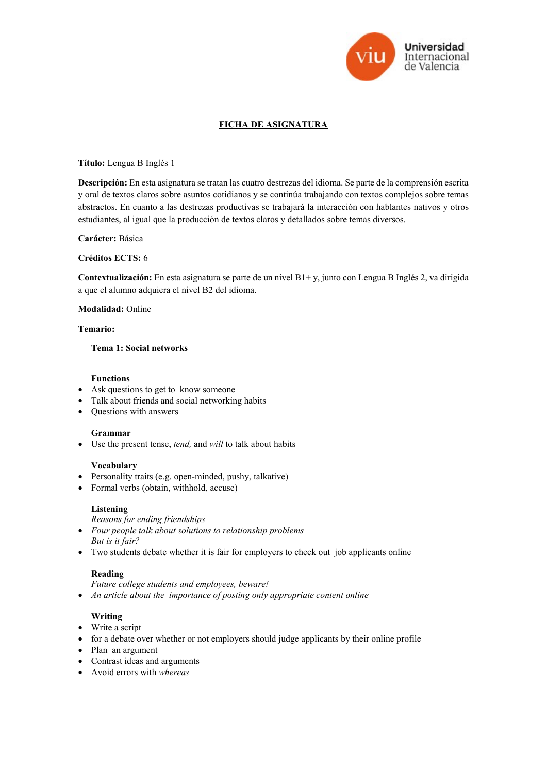

# FICHA DE ASIGNATURA

Título: Lengua B Inglés 1

Descripción: En esta asignatura se tratan las cuatro destrezas del idioma. Se parte de la comprensión escrita y oral de textos claros sobre asuntos cotidianos y se continúa trabajando con textos complejos sobre temas abstractos. En cuanto a las destrezas productivas se trabajará la interacción con hablantes nativos y otros estudiantes, al igual que la producción de textos claros y detallados sobre temas diversos.

### Carácter: Básica

#### Créditos ECTS: 6

Contextualización: En esta asignatura se parte de un nivel B1+ y, junto con Lengua B Inglés 2, va dirigida a que el alumno adquiera el nivel B2 del idioma.

#### Modalidad: Online

### Temario:

### Tema 1: Social networks

#### Functions

- Ask questions to get to know someone
- Talk about friends and social networking habits
- Questions with answers

### Grammar

• Use the present tense, tend, and will to talk about habits

#### Vocabulary

- Personality traits (e.g. open-minded, pushy, talkative)
- Formal verbs (obtain, withhold, accuse)

#### Listening

- Reasons for ending friendships
- Four people talk about solutions to relationship problems But is it fair?
- Two students debate whether it is fair for employers to check out job applicants online

### Reading

Future college students and employees, beware!

• An article about the importance of posting only appropriate content online

### Writing

- Write a script
- for a debate over whether or not employers should judge applicants by their online profile
- Plan an argument
- Contrast ideas and arguments
- Avoid errors with whereas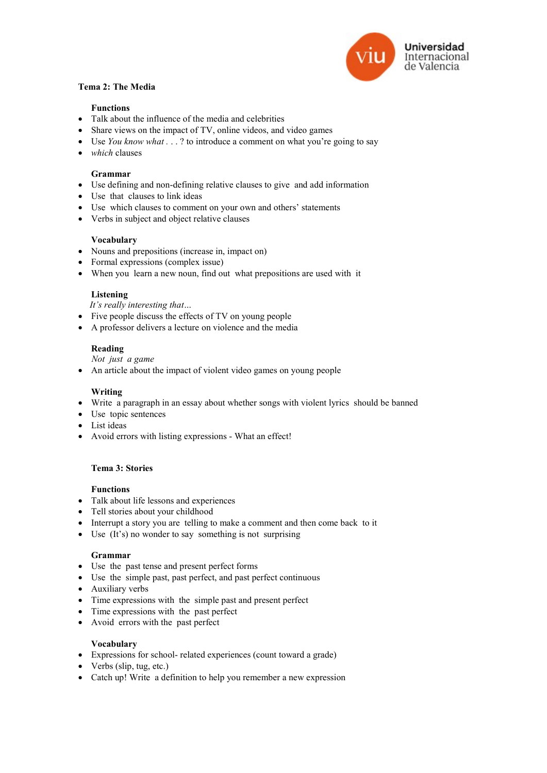

# Tema 2: The Media

### Functions

- Talk about the influence of the media and celebrities
- Share views on the impact of TV, online videos, and video games
- Use You know what . . . ? to introduce a comment on what you're going to say
- $\bullet$  which clauses

### Grammar

- Use defining and non-defining relative clauses to give and add information
- Use that clauses to link ideas
- Use which clauses to comment on your own and others' statements
- Verbs in subject and object relative clauses

## Vocabulary

- Nouns and prepositions (increase in, impact on)
- Formal expressions (complex issue)
- When you learn a new noun, find out what prepositions are used with it

### Listening

It's really interesting that…

- Five people discuss the effects of TV on young people
- A professor delivers a lecture on violence and the media

## Reading

Not just a game

An article about the impact of violent video games on young people

# Writing

- Write a paragraph in an essay about whether songs with violent lyrics should be banned
- Use topic sentences
- List ideas
- Avoid errors with listing expressions What an effect!

# Tema 3: Stories

### Functions

- Talk about life lessons and experiences
- Tell stories about your childhood
- Interrupt a story you are telling to make a comment and then come back to it
- Use (It's) no wonder to say something is not surprising

### Grammar

- Use the past tense and present perfect forms
- Use the simple past, past perfect, and past perfect continuous
- Auxiliary verbs
- Time expressions with the simple past and present perfect
- Time expressions with the past perfect
- Avoid errors with the past perfect

### Vocabulary

- Expressions for school- related experiences (count toward a grade)
- Verbs (slip, tug, etc.)
- Catch up! Write a definition to help you remember a new expression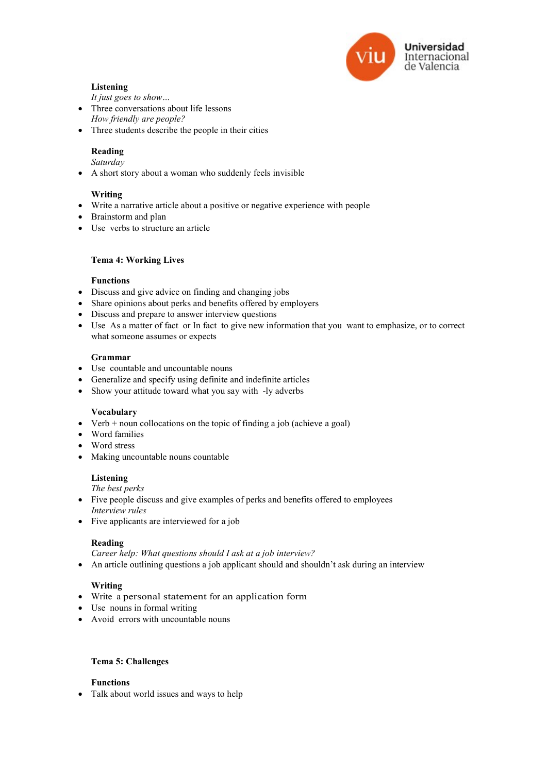

# Listening

It just goes to show…

- Three conversations about life lessons
- How friendly are people?
- Three students describe the people in their cities

# Reading

Saturday

A short story about a woman who suddenly feels invisible

# Writing

- Write a narrative article about a positive or negative experience with people
- **Brainstorm and plan**
- Use verbs to structure an article

## Tema 4: Working Lives

## Functions

- Discuss and give advice on finding and changing jobs
- Share opinions about perks and benefits offered by employers
- Discuss and prepare to answer interview questions
- Use As a matter of fact or In fact to give new information that you want to emphasize, or to correct what someone assumes or expects

## Grammar

- Use countable and uncountable nouns
- Generalize and specify using definite and indefinite articles
- Show your attitude toward what you say with -ly adverbs

# Vocabulary

- Verb  $+$  noun collocations on the topic of finding a job (achieve a goal)
- Word families
- Word stress
- Making uncountable nouns countable

# Listening

The best perks

- Five people discuss and give examples of perks and benefits offered to employees Interview rules
- Five applicants are interviewed for a job

# Reading

Career help: What questions should I ask at a job interview?

• An article outlining questions a job applicant should and shouldn't ask during an interview

# Writing

- Write a personal statement for an application form
- Use nouns in formal writing
- Avoid errors with uncountable nouns

### Tema 5: Challenges

# Functions

Talk about world issues and ways to help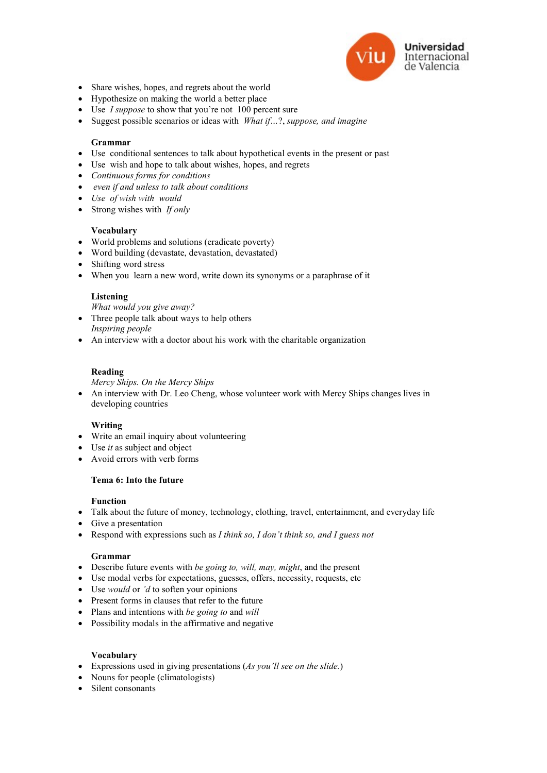

- Share wishes, hopes, and regrets about the world
- Hypothesize on making the world a better place
- $\bullet$  Use I suppose to show that you're not 100 percent sure
- Suggest possible scenarios or ideas with  $$

### Grammar

- Use conditional sentences to talk about hypothetical events in the present or past
- Use wish and hope to talk about wishes, hopes, and regrets
- Continuous forms for conditions
- even if and unless to talk about conditions
- Use of wish with would
- $\bullet$  Strong wishes with If only

### Vocabulary

- World problems and solutions (eradicate poverty)
- Word building (devastate, devastation, devastated)
- Shifting word stress
- When you learn a new word, write down its synonyms or a paraphrase of it

#### Listening

What would you give away?

- Three people talk about ways to help others Inspiring people
- An interview with a doctor about his work with the charitable organization

#### Reading

Mercy Ships. On the Mercy Ships

• An interview with Dr. Leo Cheng, whose volunteer work with Mercy Ships changes lives in developing countries

### Writing

- Write an email inquiry about volunteering
- $\bullet$  Use *it* as subject and object
- Avoid errors with verb forms

### Tema 6: Into the future

#### Function

- Talk about the future of money, technology, clothing, travel, entertainment, and everyday life
- Give a presentation
- Respond with expressions such as  $I$  think so,  $I$  don't think so, and  $I$  guess not

#### Grammar

- $\bullet$  Describe future events with *be going to, will, may, might*, and the present
- Use modal verbs for expectations, guesses, offers, necessity, requests, etc
- $\bullet$  Use *would* or 'd to soften your opinions
- Present forms in clauses that refer to the future
- $\bullet$  Plans and intentions with *be going to* and *will*
- Possibility modals in the affirmative and negative

#### Vocabulary

- Expressions used in giving presentations (As you'll see on the slide.)
- Nouns for people (climatologists)
- Silent consonants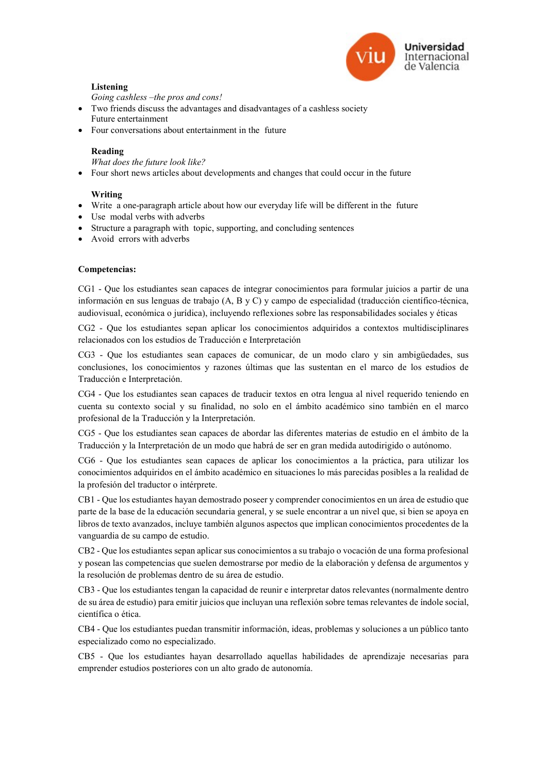

# Listening

Going cashless –the pros and cons!

- Two friends discuss the advantages and disadvantages of a cashless society Future entertainment
- Four conversations about entertainment in the future

## Reading

What does the future look like?

Four short news articles about developments and changes that could occur in the future

## Writing

- Write a one-paragraph article about how our everyday life will be different in the future
- Use modal verbs with adverbs
- Structure a paragraph with topic, supporting, and concluding sentences
- Avoid errors with adverbs

## Competencias:

CG1 - Que los estudiantes sean capaces de integrar conocimientos para formular juicios a partir de una información en sus lenguas de trabajo (A, B y C) y campo de especialidad (traducción científico-técnica, audiovisual, económica o jurídica), incluyendo reflexiones sobre las responsabilidades sociales y éticas

CG2 - Que los estudiantes sepan aplicar los conocimientos adquiridos a contextos multidisciplinares relacionados con los estudios de Traducción e Interpretación

CG3 - Que los estudiantes sean capaces de comunicar, de un modo claro y sin ambigüedades, sus conclusiones, los conocimientos y razones últimas que las sustentan en el marco de los estudios de Traducción e Interpretación.

CG4 - Que los estudiantes sean capaces de traducir textos en otra lengua al nivel requerido teniendo en cuenta su contexto social y su finalidad, no solo en el ámbito académico sino también en el marco profesional de la Traducción y la Interpretación.

CG5 - Que los estudiantes sean capaces de abordar las diferentes materias de estudio en el ámbito de la Traducción y la Interpretación de un modo que habrá de ser en gran medida autodirigido o autónomo.

CG6 - Que los estudiantes sean capaces de aplicar los conocimientos a la práctica, para utilizar los conocimientos adquiridos en el ámbito académico en situaciones lo más parecidas posibles a la realidad de la profesión del traductor o intérprete.

CB1 - Que los estudiantes hayan demostrado poseer y comprender conocimientos en un área de estudio que parte de la base de la educación secundaria general, y se suele encontrar a un nivel que, si bien se apoya en libros de texto avanzados, incluye también algunos aspectos que implican conocimientos procedentes de la vanguardia de su campo de estudio.

CB2 - Que los estudiantes sepan aplicar sus conocimientos a su trabajo o vocación de una forma profesional y posean las competencias que suelen demostrarse por medio de la elaboración y defensa de argumentos y la resolución de problemas dentro de su área de estudio.

CB3 - Que los estudiantes tengan la capacidad de reunir e interpretar datos relevantes (normalmente dentro de su área de estudio) para emitir juicios que incluyan una reflexión sobre temas relevantes de índole social, científica o ética.

CB4 - Que los estudiantes puedan transmitir información, ideas, problemas y soluciones a un público tanto especializado como no especializado.

CB5 - Que los estudiantes hayan desarrollado aquellas habilidades de aprendizaje necesarias para emprender estudios posteriores con un alto grado de autonomía.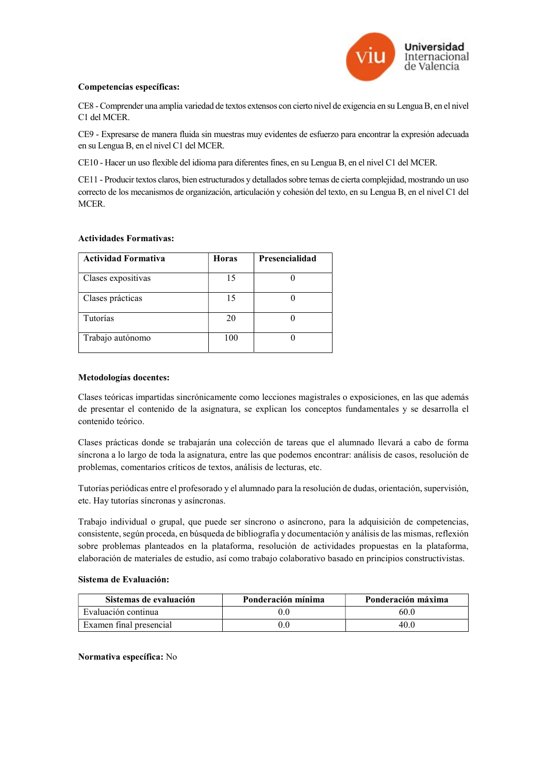

### Competencias específicas:

CE8 - Comprender una amplia variedad de textos extensos con cierto nivel de exigencia en su Lengua B, en el nivel C1 del MCER.

CE9 - Expresarse de manera fluida sin muestras muy evidentes de esfuerzo para encontrar la expresión adecuada en su Lengua B, en el nivel C1 del MCER.

CE10 - Hacer un uso flexible del idioma para diferentes fines, en su Lengua B, en el nivel C1 del MCER.

CE11 - Producir textos claros, bien estructurados y detallados sobre temas de cierta complejidad, mostrando un uso correcto de los mecanismos de organización, articulación y cohesión del texto, en su Lengua B, en el nivel C1 del MCER.

### Actividades Formativas:

| <b>Actividad Formativa</b> | <b>Horas</b> | Presencialidad |
|----------------------------|--------------|----------------|
| Clases expositivas         | 15           |                |
| Clases prácticas           | 15           |                |
| Tutorías                   | 20           |                |
| Trabajo autónomo           | 100          |                |

### Metodologías docentes:

Clases teóricas impartidas sincrónicamente como lecciones magistrales o exposiciones, en las que además de presentar el contenido de la asignatura, se explican los conceptos fundamentales y se desarrolla el contenido teórico.

Clases prácticas donde se trabajarán una colección de tareas que el alumnado llevará a cabo de forma síncrona a lo largo de toda la asignatura, entre las que podemos encontrar: análisis de casos, resolución de problemas, comentarios críticos de textos, análisis de lecturas, etc.

Tutorías periódicas entre el profesorado y el alumnado para la resolución de dudas, orientación, supervisión, etc. Hay tutorías síncronas y asíncronas.

Trabajo individual o grupal, que puede ser síncrono o asíncrono, para la adquisición de competencias, consistente, según proceda, en búsqueda de bibliografía y documentación y análisis de las mismas, reflexión sobre problemas planteados en la plataforma, resolución de actividades propuestas en la plataforma, elaboración de materiales de estudio, así como trabajo colaborativo basado en principios constructivistas.

### Sistema de Evaluación:

| Sistemas de evaluación  | Ponderación mínima | Ponderación máxima |
|-------------------------|--------------------|--------------------|
| Evaluación continua     |                    | 60.0               |
| Examen final presencial |                    | 40.0               |

### Normativa específica: No